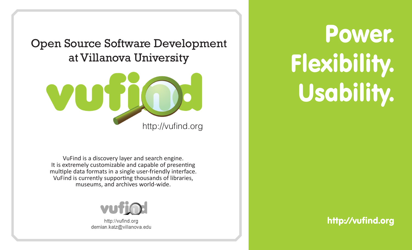Open Source Software Development at Villanova University



VuFind is a discovery layer and search engine. It is extremely customizable and capable of presenting multiple data formats in a single user-friendly interface. VuFind is currently supporting thousands of libraries, museums, and archives world-wide.



http://vufind.org demian.katz@villanova.edu

Power. Flexibility. Usability.

# http://vufind.org